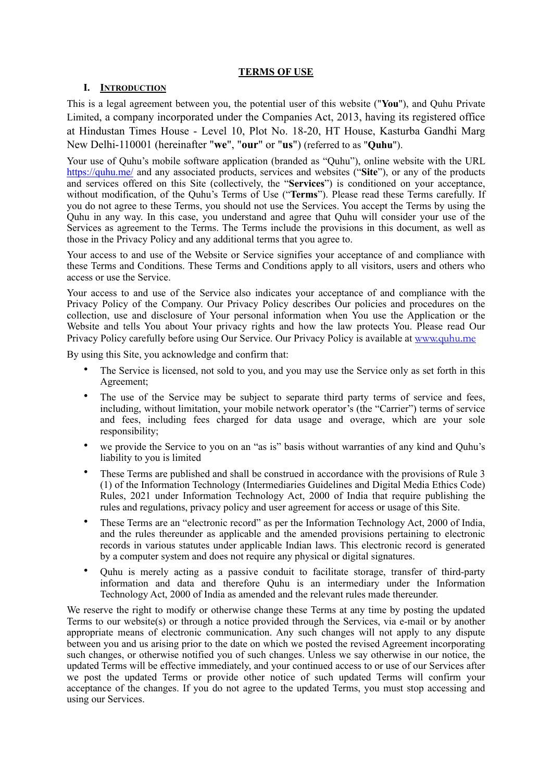### **TERMS OF USE**

### **I. INTRODUCTION**

This is a legal agreement between you, the potential user of this website ("**You**"), and Quhu Private Limited, a company incorporated under the Companies Act, 2013, having its registered office at Hindustan Times House - Level 10, Plot No. 18-20, HT House, Kasturba Gandhi Marg New Delhi-110001 (hereinafter "**we**", "**our**" or "**us**") (referred to as "**Quhu**").

Your use of Quhu's mobile software application (branded as "Quhu"), online website with the URL <https://quhu.me/>and any associated products, services and websites ("**Site**"), or any of the products and services offered on this Site (collectively, the "**Services**") is conditioned on your acceptance, without modification, of the Quhu's Terms of Use ("**Terms**"). Please read these Terms carefully. If you do not agree to these Terms, you should not use the Services. You accept the Terms by using the Quhu in any way. In this case, you understand and agree that Quhu will consider your use of the Services as agreement to the Terms. The Terms include the provisions in this document, as well as those in the Privacy Policy and any additional terms that you agree to.

Your access to and use of the Website or Service signifies your acceptance of and compliance with these Terms and Conditions. These Terms and Conditions apply to all visitors, users and others who access or use the Service.

Your access to and use of the Service also indicates your acceptance of and compliance with the Privacy Policy of the Company. Our Privacy Policy describes Our policies and procedures on the collection, use and disclosure of Your personal information when You use the Application or the Website and tells You about Your privacy rights and how the law protects You. Please read Our Privacy Policy carefully before using Our Service. Our Privacy Policy is available at [www.quhu.me](http://www.quhu.me)

By using this Site, you acknowledge and confirm that:

- The Service is licensed, not sold to you, and you may use the Service only as set forth in this Agreement;
- The use of the Service may be subject to separate third party terms of service and fees, including, without limitation, your mobile network operator's (the "Carrier") terms of service and fees, including fees charged for data usage and overage, which are your sole responsibility;
- we provide the Service to you on an "as is" basis without warranties of any kind and Ouhu's liability to you is limited
- These Terms are published and shall be construed in accordance with the provisions of Rule 3 (1) of the Information Technology (Intermediaries Guidelines and Digital Media Ethics Code) Rules, 2021 under Information Technology Act, 2000 of India that require publishing the rules and regulations, privacy policy and user agreement for access or usage of this Site.
- These Terms are an "electronic record" as per the Information Technology Act, 2000 of India, and the rules thereunder as applicable and the amended provisions pertaining to electronic records in various statutes under applicable Indian laws. This electronic record is generated by a computer system and does not require any physical or digital signatures.
- Quhu is merely acting as a passive conduit to facilitate storage, transfer of third-party information and data and therefore Quhu is an intermediary under the Information Technology Act, 2000 of India as amended and the relevant rules made thereunder.

We reserve the right to modify or otherwise change these Terms at any time by posting the updated Terms to our website(s) or through a notice provided through the Services, via e-mail or by another appropriate means of electronic communication. Any such changes will not apply to any dispute between you and us arising prior to the date on which we posted the revised Agreement incorporating such changes, or otherwise notified you of such changes. Unless we say otherwise in our notice, the updated Terms will be effective immediately, and your continued access to or use of our Services after we post the updated Terms or provide other notice of such updated Terms will confirm your acceptance of the changes. If you do not agree to the updated Terms, you must stop accessing and using our Services.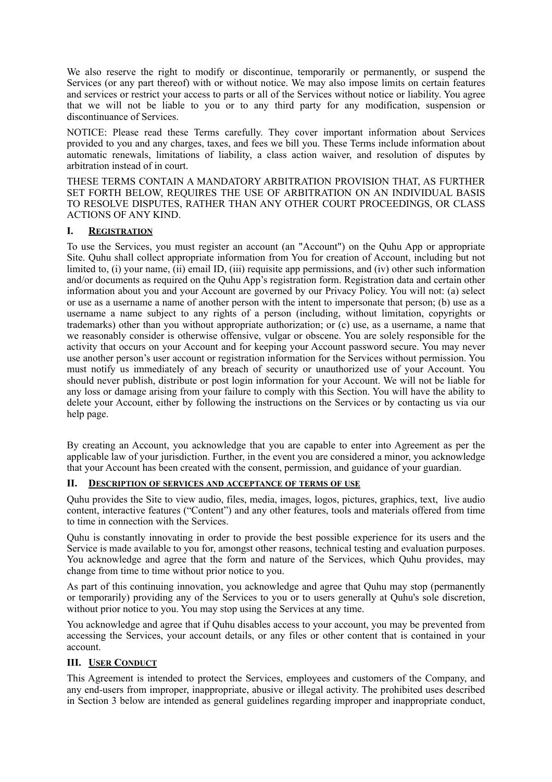We also reserve the right to modify or discontinue, temporarily or permanently, or suspend the Services (or any part thereof) with or without notice. We may also impose limits on certain features and services or restrict your access to parts or all of the Services without notice or liability. You agree that we will not be liable to you or to any third party for any modification, suspension or discontinuance of Services.

NOTICE: Please read these Terms carefully. They cover important information about Services provided to you and any charges, taxes, and fees we bill you. These Terms include information about automatic renewals, limitations of liability, a class action waiver, and resolution of disputes by arbitration instead of in court.

THESE TERMS CONTAIN A MANDATORY ARBITRATION PROVISION THAT, AS FURTHER SET FORTH BELOW, REQUIRES THE USE OF ARBITRATION ON AN INDIVIDUAL BASIS TO RESOLVE DISPUTES, RATHER THAN ANY OTHER COURT PROCEEDINGS, OR CLASS ACTIONS OF ANY KIND.

### **I. REGISTRATION**

To use the Services, you must register an account (an "Account") on the Quhu App or appropriate Site. Quhu shall collect appropriate information from You for creation of Account, including but not limited to, (i) your name, (ii) email ID, (iii) requisite app permissions, and (iv) other such information and/or documents as required on the Quhu App's registration form. Registration data and certain other information about you and your Account are governed by our Privacy Policy. You will not: (a) select or use as a username a name of another person with the intent to impersonate that person; (b) use as a username a name subject to any rights of a person (including, without limitation, copyrights or trademarks) other than you without appropriate authorization; or (c) use, as a username, a name that we reasonably consider is otherwise offensive, vulgar or obscene. You are solely responsible for the activity that occurs on your Account and for keeping your Account password secure. You may never use another person's user account or registration information for the Services without permission. You must notify us immediately of any breach of security or unauthorized use of your Account. You should never publish, distribute or post login information for your Account. We will not be liable for any loss or damage arising from your failure to comply with this Section. You will have the ability to delete your Account, either by following the instructions on the Services or by contacting us via our help page.

By creating an Account, you acknowledge that you are capable to enter into Agreement as per the applicable law of your jurisdiction. Further, in the event you are considered a minor, you acknowledge that your Account has been created with the consent, permission, and guidance of your guardian.

### **II. DESCRIPTION OF SERVICES AND ACCEPTANCE OF TERMS OF USE**

Quhu provides the Site to view audio, files, media, images, logos, pictures, graphics, text, live audio content, interactive features ("Content") and any other features, tools and materials offered from time to time in connection with the Services.

Quhu is constantly innovating in order to provide the best possible experience for its users and the Service is made available to you for, amongst other reasons, technical testing and evaluation purposes. You acknowledge and agree that the form and nature of the Services, which Quhu provides, may change from time to time without prior notice to you.

As part of this continuing innovation, you acknowledge and agree that Quhu may stop (permanently or temporarily) providing any of the Services to you or to users generally at Quhu's sole discretion, without prior notice to you. You may stop using the Services at any time.

You acknowledge and agree that if Quhu disables access to your account, you may be prevented from accessing the Services, your account details, or any files or other content that is contained in your account.

### **III. USER CONDUCT**

This Agreement is intended to protect the Services, employees and customers of the Company, and any end-users from improper, inappropriate, abusive or illegal activity. The prohibited uses described in Section 3 below are intended as general guidelines regarding improper and inappropriate conduct,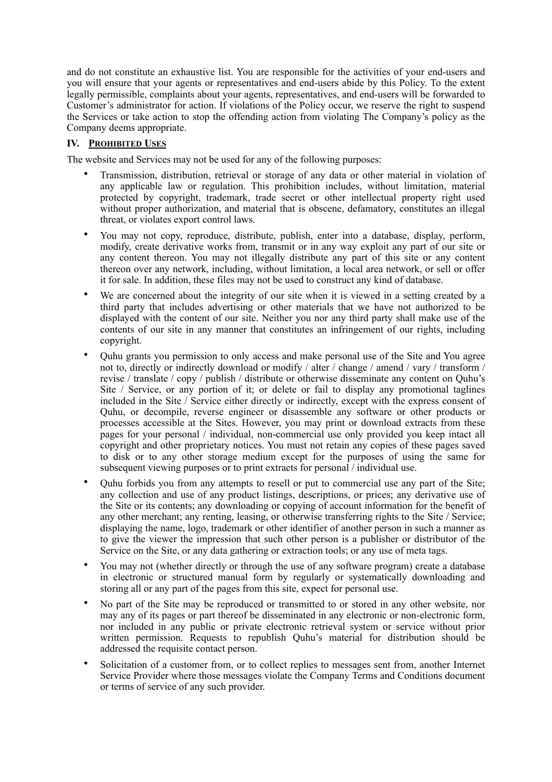and do not constitute an exhaustive list. You are responsible for the activities of your end-users and you will ensure that your agents or representatives and end-users abide by this Policy. To the extent legally permissible, complaints about your agents, representatives, and end-users will be forwarded to Customer's administrator for action. If violations of the Policy occur, we reserve the right to suspend the Services or take action to stop the offending action from violating The Company's policy as the Company deems appropriate.

## **IV. PROHIBITED USES**

The website and Services may not be used for any of the following purposes:

- Transmission, distribution, retrieval or storage of any data or other material in violation of any applicable law or regulation. This prohibition includes, without limitation, material protected by copyright, trademark, trade secret or other intellectual property right used without proper authorization, and material that is obscene, defamatory, constitutes an illegal threat, or violates export control laws.
- You may not copy, reproduce, distribute, publish, enter into a database, display, perform, modify, create derivative works from, transmit or in any way exploit any part of our site or any content thereon. You may not illegally distribute any part of this site or any content thereon over any network, including, without limitation, a local area network, or sell or offer it for sale. In addition, these files may not be used to construct any kind of database.
- We are concerned about the integrity of our site when it is viewed in a setting created by a third party that includes advertising or other materials that we have not authorized to be displayed with the content of our site. Neither you nor any third party shall make use of the contents of our site in any manner that constitutes an infringement of our rights, including copyright.
- Quhu grants you permission to only access and make personal use of the Site and You agree not to, directly or indirectly download or modify / alter / change / amend / vary / transform / revise / translate / copy / publish / distribute or otherwise disseminate any content on Quhu's Site / Service, or any portion of it; or delete or fail to display any promotional taglines included in the Site / Service either directly or indirectly, except with the express consent of Quhu, or decompile, reverse engineer or disassemble any software or other products or processes accessible at the Sites. However, you may print or download extracts from these pages for your personal / individual, non-commercial use only provided you keep intact all copyright and other proprietary notices. You must not retain any copies of these pages saved to disk or to any other storage medium except for the purposes of using the same for subsequent viewing purposes or to print extracts for personal / individual use.
- Quhu forbids you from any attempts to resell or put to commercial use any part of the Site; any collection and use of any product listings, descriptions, or prices; any derivative use of the Site or its contents; any downloading or copying of account information for the benefit of any other merchant; any renting, leasing, or otherwise transferring rights to the Site / Service; displaying the name, logo, trademark or other identifier of another person in such a manner as to give the viewer the impression that such other person is a publisher or distributor of the Service on the Site, or any data gathering or extraction tools; or any use of meta tags.
- You may not (whether directly or through the use of any software program) create a database in electronic or structured manual form by regularly or systematically downloading and storing all or any part of the pages from this site, expect for personal use.
- No part of the Site may be reproduced or transmitted to or stored in any other website, nor may any of its pages or part thereof be disseminated in any electronic or non-electronic form, nor included in any public or private electronic retrieval system or service without prior written permission. Requests to republish Quhu's material for distribution should be addressed the requisite contact person.
- Solicitation of a customer from, or to collect replies to messages sent from, another Internet Service Provider where those messages violate the Company Terms and Conditions document or terms of service of any such provider.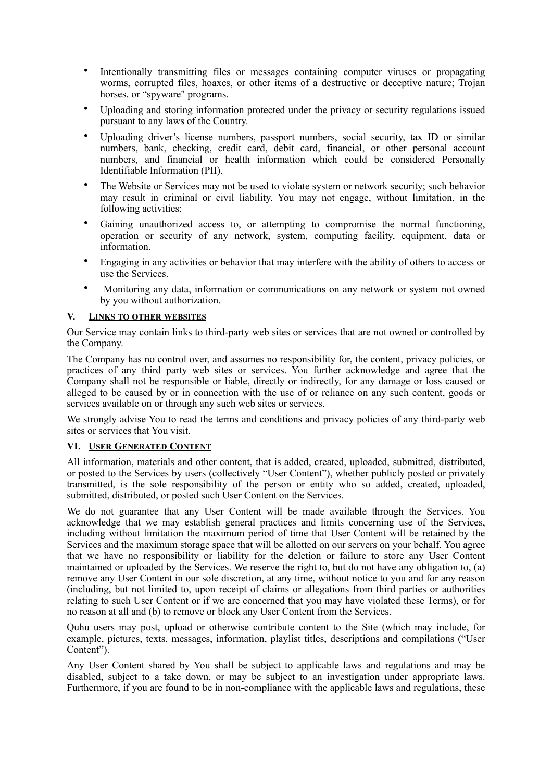- Intentionally transmitting files or messages containing computer viruses or propagating worms, corrupted files, hoaxes, or other items of a destructive or deceptive nature; Trojan horses, or "spyware" programs.
- Uploading and storing information protected under the privacy or security regulations issued pursuant to any laws of the Country.
- Uploading driver's license numbers, passport numbers, social security, tax ID or similar numbers, bank, checking, credit card, debit card, financial, or other personal account numbers, and financial or health information which could be considered Personally Identifiable Information (PII).
- The Website or Services may not be used to violate system or network security; such behavior may result in criminal or civil liability. You may not engage, without limitation, in the following activities:
- Gaining unauthorized access to, or attempting to compromise the normal functioning, operation or security of any network, system, computing facility, equipment, data or information.
- Engaging in any activities or behavior that may interfere with the ability of others to access or use the Services.
- Monitoring any data, information or communications on any network or system not owned by you without authorization.

### **V. LINKS TO OTHER WEBSITES**

Our Service may contain links to third-party web sites or services that are not owned or controlled by the Company.

The Company has no control over, and assumes no responsibility for, the content, privacy policies, or practices of any third party web sites or services. You further acknowledge and agree that the Company shall not be responsible or liable, directly or indirectly, for any damage or loss caused or alleged to be caused by or in connection with the use of or reliance on any such content, goods or services available on or through any such web sites or services.

We strongly advise You to read the terms and conditions and privacy policies of any third-party web sites or services that You visit.

### **VI. USER GENERATED CONTENT**

All information, materials and other content, that is added, created, uploaded, submitted, distributed, or posted to the Services by users (collectively "User Content"), whether publicly posted or privately transmitted, is the sole responsibility of the person or entity who so added, created, uploaded, submitted, distributed, or posted such User Content on the Services.

We do not guarantee that any User Content will be made available through the Services. You acknowledge that we may establish general practices and limits concerning use of the Services, including without limitation the maximum period of time that User Content will be retained by the Services and the maximum storage space that will be allotted on our servers on your behalf. You agree that we have no responsibility or liability for the deletion or failure to store any User Content maintained or uploaded by the Services. We reserve the right to, but do not have any obligation to, (a) remove any User Content in our sole discretion, at any time, without notice to you and for any reason (including, but not limited to, upon receipt of claims or allegations from third parties or authorities relating to such User Content or if we are concerned that you may have violated these Terms), or for no reason at all and (b) to remove or block any User Content from the Services.

Quhu users may post, upload or otherwise contribute content to the Site (which may include, for example, pictures, texts, messages, information, playlist titles, descriptions and compilations ("User Content").

Any User Content shared by You shall be subject to applicable laws and regulations and may be disabled, subject to a take down, or may be subject to an investigation under appropriate laws. Furthermore, if you are found to be in non-compliance with the applicable laws and regulations, these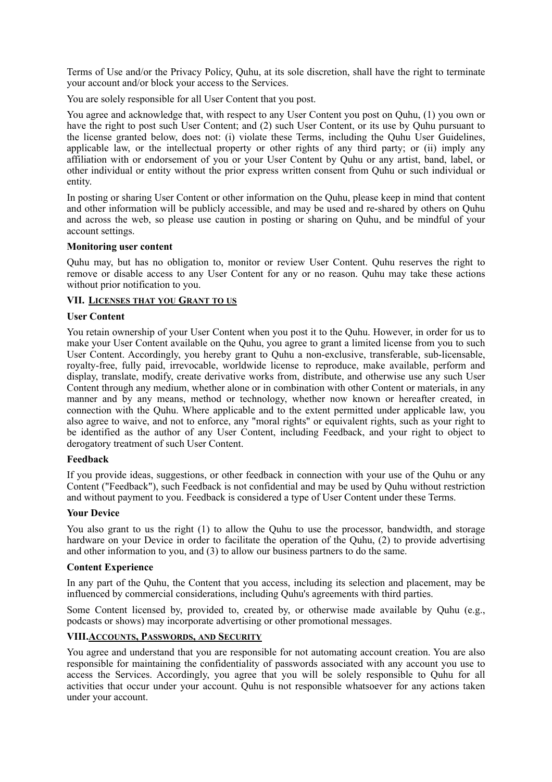Terms of Use and/or the Privacy Policy, Quhu, at its sole discretion, shall have the right to terminate your account and/or block your access to the Services.

You are solely responsible for all User Content that you post.

You agree and acknowledge that, with respect to any User Content you post on Quhu, (1) you own or have the right to post such User Content; and (2) such User Content, or its use by Quhu pursuant to the license granted below, does not: (i) violate these Terms, including the Quhu User Guidelines, applicable law, or the intellectual property or other rights of any third party; or (ii) imply any affiliation with or endorsement of you or your User Content by Quhu or any artist, band, label, or other individual or entity without the prior express written consent from Quhu or such individual or entity.

In posting or sharing User Content or other information on the Quhu, please keep in mind that content and other information will be publicly accessible, and may be used and re-shared by others on Quhu and across the web, so please use caution in posting or sharing on Quhu, and be mindful of your account settings.

#### **Monitoring user content**

Quhu may, but has no obligation to, monitor or review User Content. Quhu reserves the right to remove or disable access to any User Content for any or no reason. Quhu may take these actions without prior notification to you.

### **VII. LICENSES THAT YOU GRANT TO US**

#### **User Content**

You retain ownership of your User Content when you post it to the Quhu. However, in order for us to make your User Content available on the Quhu, you agree to grant a limited license from you to such User Content. Accordingly, you hereby grant to Quhu a non-exclusive, transferable, sub-licensable, royalty-free, fully paid, irrevocable, worldwide license to reproduce, make available, perform and display, translate, modify, create derivative works from, distribute, and otherwise use any such User Content through any medium, whether alone or in combination with other Content or materials, in any manner and by any means, method or technology, whether now known or hereafter created, in connection with the Quhu. Where applicable and to the extent permitted under applicable law, you also agree to waive, and not to enforce, any "moral rights" or equivalent rights, such as your right to be identified as the author of any User Content, including Feedback, and your right to object to derogatory treatment of such User Content.

#### **Feedback**

If you provide ideas, suggestions, or other feedback in connection with your use of the Quhu or any Content ("Feedback"), such Feedback is not confidential and may be used by Quhu without restriction and without payment to you. Feedback is considered a type of User Content under these Terms.

### **Your Device**

You also grant to us the right (1) to allow the Quhu to use the processor, bandwidth, and storage hardware on your Device in order to facilitate the operation of the Quhu, (2) to provide advertising and other information to you, and (3) to allow our business partners to do the same.

#### **Content Experience**

In any part of the Quhu, the Content that you access, including its selection and placement, may be influenced by commercial considerations, including Quhu's agreements with third parties.

Some Content licensed by, provided to, created by, or otherwise made available by Quhu (e.g., podcasts or shows) may incorporate advertising or other promotional messages.

## **VIII.ACCOUNTS, PASSWORDS, AND SECURITY**

You agree and understand that you are responsible for not automating account creation. You are also responsible for maintaining the confidentiality of passwords associated with any account you use to access the Services. Accordingly, you agree that you will be solely responsible to Quhu for all activities that occur under your account. Quhu is not responsible whatsoever for any actions taken under your account.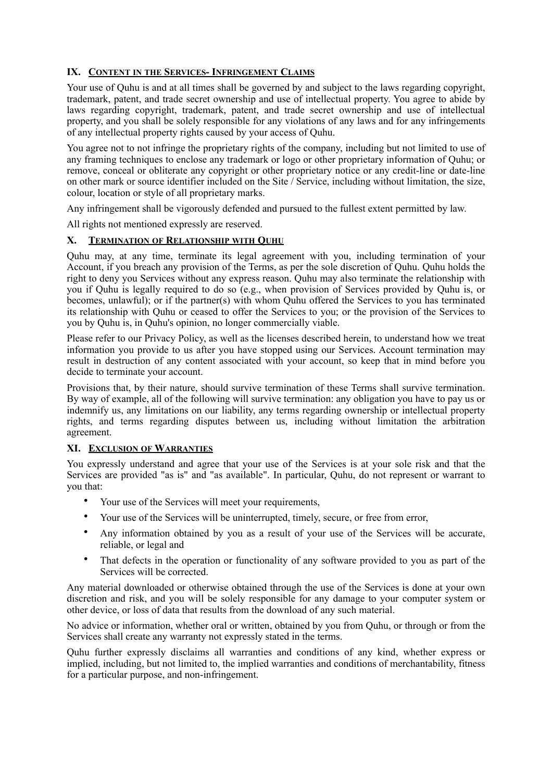# **IX. CONTENT IN THE SERVICES- INFRINGEMENT CLAIMS**

Your use of Quhu is and at all times shall be governed by and subject to the laws regarding copyright, trademark, patent, and trade secret ownership and use of intellectual property. You agree to abide by laws regarding copyright, trademark, patent, and trade secret ownership and use of intellectual property, and you shall be solely responsible for any violations of any laws and for any infringements of any intellectual property rights caused by your access of Quhu.

You agree not to not infringe the proprietary rights of the company, including but not limited to use of any framing techniques to enclose any trademark or logo or other proprietary information of Quhu; or remove, conceal or obliterate any copyright or other proprietary notice or any credit-line or date-line on other mark or source identifier included on the Site / Service, including without limitation, the size, colour, location or style of all proprietary marks.

Any infringement shall be vigorously defended and pursued to the fullest extent permitted by law.

All rights not mentioned expressly are reserved.

### **X. TERMINATION OF RELATIONSHIP WITH QUHU**

Quhu may, at any time, terminate its legal agreement with you, including termination of your Account, if you breach any provision of the Terms, as per the sole discretion of Quhu. Quhu holds the right to deny you Services without any express reason. Quhu may also terminate the relationship with you if Quhu is legally required to do so (e.g., when provision of Services provided by Quhu is, or becomes, unlawful); or if the partner(s) with whom Quhu offered the Services to you has terminated its relationship with Quhu or ceased to offer the Services to you; or the provision of the Services to you by Quhu is, in Quhu's opinion, no longer commercially viable.

Please refer to our Privacy Policy, as well as the licenses described herein, to understand how we treat information you provide to us after you have stopped using our Services. Account termination may result in destruction of any content associated with your account, so keep that in mind before you decide to terminate your account.

Provisions that, by their nature, should survive termination of these Terms shall survive termination. By way of example, all of the following will survive termination: any obligation you have to pay us or indemnify us, any limitations on our liability, any terms regarding ownership or intellectual property rights, and terms regarding disputes between us, including without limitation the arbitration agreement.

### **XI. EXCLUSION OF WARRANTIES**

You expressly understand and agree that your use of the Services is at your sole risk and that the Services are provided "as is" and "as available". In particular, Quhu, do not represent or warrant to you that:

- Your use of the Services will meet your requirements,
- Your use of the Services will be uninterrupted, timely, secure, or free from error,
- Any information obtained by you as a result of your use of the Services will be accurate, reliable, or legal and
- That defects in the operation or functionality of any software provided to you as part of the Services will be corrected.

Any material downloaded or otherwise obtained through the use of the Services is done at your own discretion and risk, and you will be solely responsible for any damage to your computer system or other device, or loss of data that results from the download of any such material.

No advice or information, whether oral or written, obtained by you from Quhu, or through or from the Services shall create any warranty not expressly stated in the terms.

Quhu further expressly disclaims all warranties and conditions of any kind, whether express or implied, including, but not limited to, the implied warranties and conditions of merchantability, fitness for a particular purpose, and non-infringement.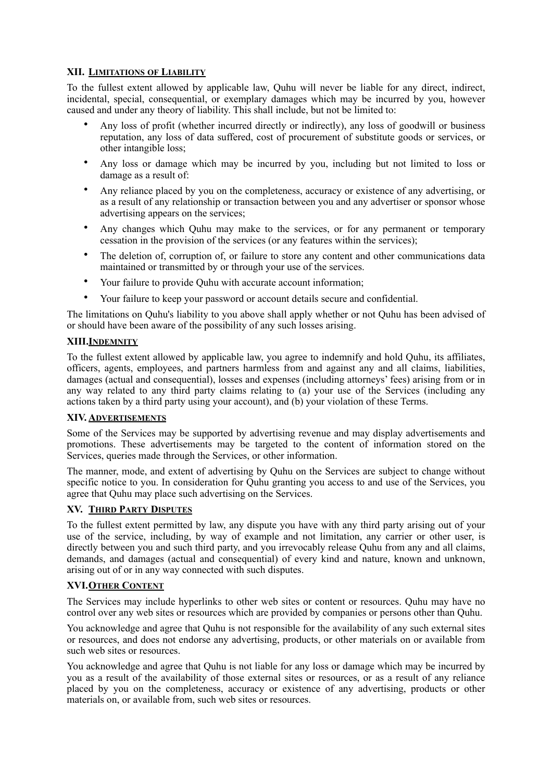## **XII. LIMITATIONS OF LIABILITY**

To the fullest extent allowed by applicable law, Quhu will never be liable for any direct, indirect, incidental, special, consequential, or exemplary damages which may be incurred by you, however caused and under any theory of liability. This shall include, but not be limited to:

- Any loss of profit (whether incurred directly or indirectly), any loss of goodwill or business reputation, any loss of data suffered, cost of procurement of substitute goods or services, or other intangible loss;
- Any loss or damage which may be incurred by you, including but not limited to loss or damage as a result of:
- Any reliance placed by you on the completeness, accuracy or existence of any advertising, or as a result of any relationship or transaction between you and any advertiser or sponsor whose advertising appears on the services;
- Any changes which Quhu may make to the services, or for any permanent or temporary cessation in the provision of the services (or any features within the services);
- The deletion of, corruption of, or failure to store any content and other communications data maintained or transmitted by or through your use of the services.
- Your failure to provide Quhu with accurate account information;
- Your failure to keep your password or account details secure and confidential.

The limitations on Quhu's liability to you above shall apply whether or not Quhu has been advised of or should have been aware of the possibility of any such losses arising.

### **XIII.INDEMNITY**

To the fullest extent allowed by applicable law, you agree to indemnify and hold Quhu, its affiliates, officers, agents, employees, and partners harmless from and against any and all claims, liabilities, damages (actual and consequential), losses and expenses (including attorneys' fees) arising from or in any way related to any third party claims relating to (a) your use of the Services (including any actions taken by a third party using your account), and (b) your violation of these Terms.

### **XIV. ADVERTISEMENTS**

Some of the Services may be supported by advertising revenue and may display advertisements and promotions. These advertisements may be targeted to the content of information stored on the Services, queries made through the Services, or other information.

The manner, mode, and extent of advertising by Quhu on the Services are subject to change without specific notice to you. In consideration for Quhu granting you access to and use of the Services, you agree that Quhu may place such advertising on the Services.

### **XV. THIRD PARTY DISPUTES**

To the fullest extent permitted by law, any dispute you have with any third party arising out of your use of the service, including, by way of example and not limitation, any carrier or other user, is directly between you and such third party, and you irrevocably release Quhu from any and all claims, demands, and damages (actual and consequential) of every kind and nature, known and unknown, arising out of or in any way connected with such disputes.

### **XVI.OTHER CONTENT**

The Services may include hyperlinks to other web sites or content or resources. Quhu may have no control over any web sites or resources which are provided by companies or persons other than Quhu.

You acknowledge and agree that Quhu is not responsible for the availability of any such external sites or resources, and does not endorse any advertising, products, or other materials on or available from such web sites or resources.

You acknowledge and agree that Quhu is not liable for any loss or damage which may be incurred by you as a result of the availability of those external sites or resources, or as a result of any reliance placed by you on the completeness, accuracy or existence of any advertising, products or other materials on, or available from, such web sites or resources.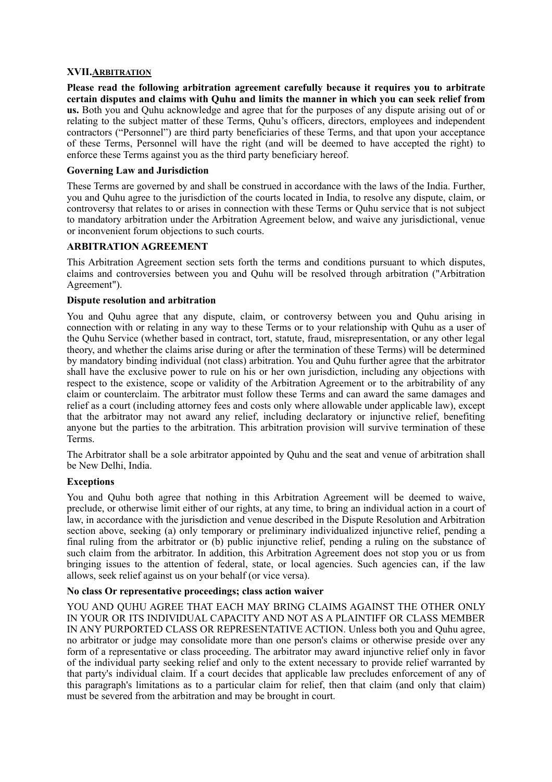### **XVII.ARBITRATION**

**Please read the following arbitration agreement carefully because it requires you to arbitrate certain disputes and claims with Quhu and limits the manner in which you can seek relief from us.** Both you and Quhu acknowledge and agree that for the purposes of any dispute arising out of or relating to the subject matter of these Terms, Quhu's officers, directors, employees and independent contractors ("Personnel") are third party beneficiaries of these Terms, and that upon your acceptance of these Terms, Personnel will have the right (and will be deemed to have accepted the right) to enforce these Terms against you as the third party beneficiary hereof.

### **Governing Law and Jurisdiction**

These Terms are governed by and shall be construed in accordance with the laws of the India. Further, you and Quhu agree to the jurisdiction of the courts located in India, to resolve any dispute, claim, or controversy that relates to or arises in connection with these Terms or Quhu service that is not subject to mandatory arbitration under the Arbitration Agreement below, and waive any jurisdictional, venue or inconvenient forum objections to such courts.

### **ARBITRATION AGREEMENT**

This Arbitration Agreement section sets forth the terms and conditions pursuant to which disputes, claims and controversies between you and Quhu will be resolved through arbitration ("Arbitration Agreement").

### **Dispute resolution and arbitration**

You and Quhu agree that any dispute, claim, or controversy between you and Quhu arising in connection with or relating in any way to these Terms or to your relationship with Quhu as a user of the Quhu Service (whether based in contract, tort, statute, fraud, misrepresentation, or any other legal theory, and whether the claims arise during or after the termination of these Terms) will be determined by mandatory binding individual (not class) arbitration. You and Quhu further agree that the arbitrator shall have the exclusive power to rule on his or her own jurisdiction, including any objections with respect to the existence, scope or validity of the Arbitration Agreement or to the arbitrability of any claim or counterclaim. The arbitrator must follow these Terms and can award the same damages and relief as a court (including attorney fees and costs only where allowable under applicable law), except that the arbitrator may not award any relief, including declaratory or injunctive relief, benefiting anyone but the parties to the arbitration. This arbitration provision will survive termination of these Terms.

The Arbitrator shall be a sole arbitrator appointed by Quhu and the seat and venue of arbitration shall be New Delhi, India.

### **Exceptions**

You and Quhu both agree that nothing in this Arbitration Agreement will be deemed to waive, preclude, or otherwise limit either of our rights, at any time, to bring an individual action in a court of law, in accordance with the jurisdiction and venue described in the Dispute Resolution and Arbitration section above, seeking (a) only temporary or preliminary individualized injunctive relief, pending a final ruling from the arbitrator or (b) public injunctive relief, pending a ruling on the substance of such claim from the arbitrator. In addition, this Arbitration Agreement does not stop you or us from bringing issues to the attention of federal, state, or local agencies. Such agencies can, if the law allows, seek relief against us on your behalf (or vice versa).

### **No class Or representative proceedings; class action waiver**

YOU AND OUHU AGREE THAT EACH MAY BRING CLAIMS AGAINST THE OTHER ONLY IN YOUR OR ITS INDIVIDUAL CAPACITY AND NOT AS A PLAINTIFF OR CLASS MEMBER IN ANY PURPORTED CLASS OR REPRESENTATIVE ACTION. Unless both you and Quhu agree, no arbitrator or judge may consolidate more than one person's claims or otherwise preside over any form of a representative or class proceeding. The arbitrator may award injunctive relief only in favor of the individual party seeking relief and only to the extent necessary to provide relief warranted by that party's individual claim. If a court decides that applicable law precludes enforcement of any of this paragraph's limitations as to a particular claim for relief, then that claim (and only that claim) must be severed from the arbitration and may be brought in court.